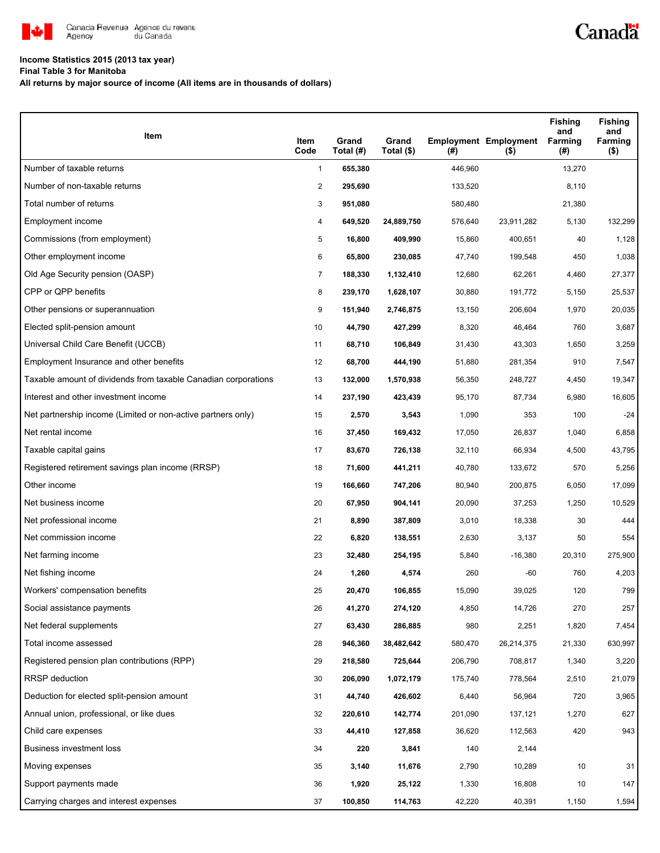

## **Income Statistics 2015 (2013 tax year)**

**Final Table 3 for Manitoba**

**All returns by major source of income (All items are in thousands of dollars)**

| Item                                                           | Item<br>Code   | Grand<br>Total (#) | Grand<br>Total (\$) | (#)     | <b>Employment Employment</b><br>$($ \$) | <b>Fishing</b><br>and<br><b>Farming</b><br>(#) | <b>Fishing</b><br>and<br>Farming<br>$($ \$) |
|----------------------------------------------------------------|----------------|--------------------|---------------------|---------|-----------------------------------------|------------------------------------------------|---------------------------------------------|
| Number of taxable returns                                      | $\mathbf{1}$   | 655,380            |                     | 446,960 |                                         | 13,270                                         |                                             |
| Number of non-taxable returns                                  | $\overline{c}$ | 295,690            |                     | 133,520 |                                         | 8,110                                          |                                             |
| Total number of returns                                        | 3              | 951,080            |                     | 580,480 |                                         | 21,380                                         |                                             |
| Employment income                                              | 4              | 649,520            | 24,889,750          | 576,640 | 23,911,282                              | 5,130                                          | 132,299                                     |
| Commissions (from employment)                                  | 5              | 16,800             | 409,990             | 15,860  | 400,651                                 | 40                                             | 1,128                                       |
| Other employment income                                        | 6              | 65,800             | 230,085             | 47,740  | 199,548                                 | 450                                            | 1,038                                       |
| Old Age Security pension (OASP)                                | $\overline{7}$ | 188,330            | 1,132,410           | 12,680  | 62,261                                  | 4,460                                          | 27,377                                      |
| CPP or QPP benefits                                            | 8              | 239,170            | 1,628,107           | 30,880  | 191,772                                 | 5,150                                          | 25,537                                      |
| Other pensions or superannuation                               | 9              | 151,940            | 2,746,875           | 13,150  | 206,604                                 | 1,970                                          | 20,035                                      |
| Elected split-pension amount                                   | 10             | 44,790             | 427,299             | 8,320   | 46,464                                  | 760                                            | 3,687                                       |
| Universal Child Care Benefit (UCCB)                            | 11             | 68,710             | 106,849             | 31,430  | 43,303                                  | 1,650                                          | 3,259                                       |
| Employment Insurance and other benefits                        | 12             | 68,700             | 444,190             | 51,880  | 281,354                                 | 910                                            | 7,547                                       |
| Taxable amount of dividends from taxable Canadian corporations | 13             | 132,000            | 1,570,938           | 56,350  | 248,727                                 | 4,450                                          | 19,347                                      |
| Interest and other investment income                           | 14             | 237,190            | 423,439             | 95,170  | 87,734                                  | 6,980                                          | 16,605                                      |
| Net partnership income (Limited or non-active partners only)   | 15             | 2,570              | 3,543               | 1,090   | 353                                     | 100                                            | $-24$                                       |
| Net rental income                                              | 16             | 37,450             | 169,432             | 17,050  | 26,837                                  | 1,040                                          | 6,858                                       |
| Taxable capital gains                                          | 17             | 83,670             | 726,138             | 32,110  | 66,934                                  | 4,500                                          | 43,795                                      |
| Registered retirement savings plan income (RRSP)               | 18             | 71,600             | 441,211             | 40,780  | 133,672                                 | 570                                            | 5,256                                       |
| Other income                                                   | 19             | 166,660            | 747,206             | 80,940  | 200,875                                 | 6,050                                          | 17,099                                      |
| Net business income                                            | 20             | 67,950             | 904,141             | 20,090  | 37,253                                  | 1,250                                          | 10,529                                      |
| Net professional income                                        | 21             | 8,890              | 387,809             | 3,010   | 18,338                                  | 30                                             | 444                                         |
| Net commission income                                          | 22             | 6,820              | 138,551             | 2,630   | 3,137                                   | 50                                             | 554                                         |
| Net farming income                                             | 23             | 32,480             | 254,195             | 5,840   | $-16,380$                               | 20,310                                         | 275,900                                     |
| Net fishing income                                             | 24             | 1,260              | 4,574               | 260     | -60                                     | 760                                            | 4,203                                       |
| Workers' compensation benefits                                 | 25             | 20,470             | 106,855             | 15,090  | 39,025                                  | 120                                            | 799                                         |
| Social assistance payments                                     | 26             | 41,270             | 274,120             | 4,850   | 14,726                                  | 270                                            | 257                                         |
| Net federal supplements                                        | 27             | 63,430             | 286,885             | 980     | 2,251                                   | 1,820                                          | 7,454                                       |
| Total income assessed                                          | 28             | 946,360            | 38,482,642          | 580,470 | 26,214,375                              | 21,330                                         | 630,997                                     |
| Registered pension plan contributions (RPP)                    | 29             | 218,580            | 725,644             | 206,790 | 708,817                                 | 1,340                                          | 3,220                                       |
| RRSP deduction                                                 | 30             | 206,090            | 1,072,179           | 175,740 | 778,564                                 | 2,510                                          | 21,079                                      |
| Deduction for elected split-pension amount                     | 31             | 44,740             | 426,602             | 6,440   | 56,964                                  | 720                                            | 3,965                                       |
| Annual union, professional, or like dues                       | 32             | 220,610            | 142,774             | 201,090 | 137,121                                 | 1,270                                          | 627                                         |
| Child care expenses                                            | 33             | 44,410             | 127,858             | 36,620  | 112,563                                 | 420                                            | 943                                         |
| Business investment loss                                       | 34             | 220                | 3,841               | 140     | 2,144                                   |                                                |                                             |
| Moving expenses                                                | 35             | 3,140              | 11,676              | 2,790   | 10,289                                  | 10                                             | 31                                          |
| Support payments made                                          | 36             | 1,920              | 25,122              | 1,330   | 16,808                                  | 10                                             | 147                                         |
| Carrying charges and interest expenses                         | 37             | 100,850            | 114,763             | 42,220  | 40,391                                  | 1,150                                          | 1,594                                       |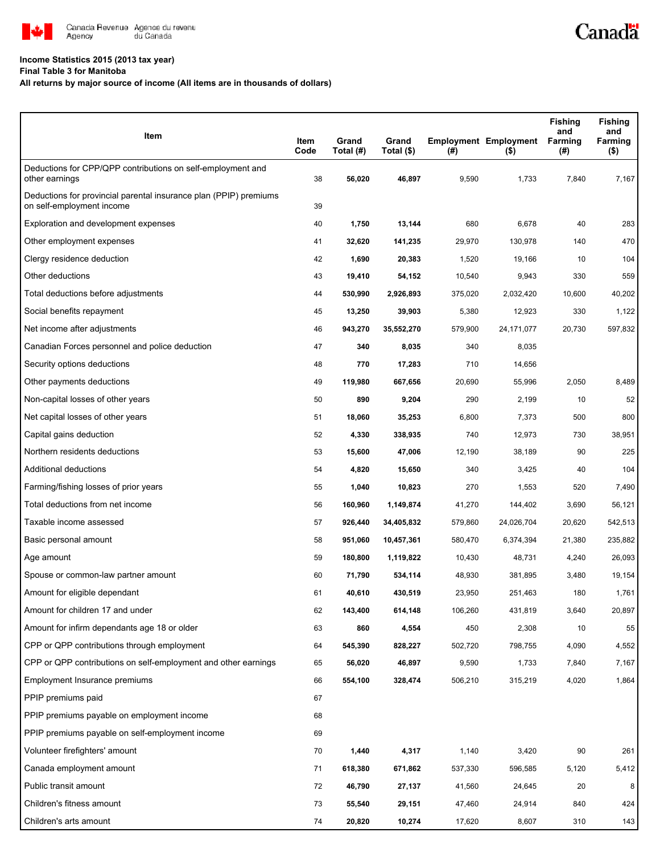

## **Income Statistics 2015 (2013 tax year)**

**Final Table 3 for Manitoba**

## **All returns by major source of income (All items are in thousands of dollars)**

| Item                                                                                           | Item<br>Code | Grand<br>Total (#) | Grand<br>Total (\$) | (#)     | <b>Employment Employment</b><br>(5) | <b>Fishing</b><br>and<br>Farming<br>(#) | Fishing<br>and<br>Farming<br>$($ \$) |
|------------------------------------------------------------------------------------------------|--------------|--------------------|---------------------|---------|-------------------------------------|-----------------------------------------|--------------------------------------|
| Deductions for CPP/QPP contributions on self-employment and<br>other earnings                  | 38           | 56,020             | 46,897              | 9,590   | 1,733                               | 7,840                                   | 7,167                                |
| Deductions for provincial parental insurance plan (PPIP) premiums<br>on self-employment income | 39           |                    |                     |         |                                     |                                         |                                      |
| Exploration and development expenses                                                           | 40           | 1,750              | 13,144              | 680     | 6,678                               | 40                                      | 283                                  |
| Other employment expenses                                                                      | 41           | 32,620             | 141,235             | 29,970  | 130,978                             | 140                                     | 470                                  |
| Clergy residence deduction                                                                     | 42           | 1,690              | 20,383              | 1,520   | 19,166                              | 10                                      | 104                                  |
| Other deductions                                                                               | 43           | 19,410             | 54,152              | 10,540  | 9,943                               | 330                                     | 559                                  |
| Total deductions before adjustments                                                            | 44           | 530,990            | 2,926,893           | 375,020 | 2,032,420                           | 10,600                                  | 40,202                               |
| Social benefits repayment                                                                      | 45           | 13,250             | 39,903              | 5,380   | 12,923                              | 330                                     | 1,122                                |
| Net income after adjustments                                                                   | 46           | 943,270            | 35,552,270          | 579,900 | 24,171,077                          | 20,730                                  | 597,832                              |
| Canadian Forces personnel and police deduction                                                 | 47           | 340                | 8,035               | 340     | 8,035                               |                                         |                                      |
| Security options deductions                                                                    | 48           | 770                | 17,283              | 710     | 14,656                              |                                         |                                      |
| Other payments deductions                                                                      | 49           | 119,980            | 667,656             | 20,690  | 55,996                              | 2,050                                   | 8,489                                |
| Non-capital losses of other years                                                              | 50           | 890                | 9,204               | 290     | 2,199                               | 10                                      | 52                                   |
| Net capital losses of other years                                                              | 51           | 18,060             | 35,253              | 6,800   | 7,373                               | 500                                     | 800                                  |
| Capital gains deduction                                                                        | 52           | 4,330              | 338,935             | 740     | 12,973                              | 730                                     | 38,951                               |
| Northern residents deductions                                                                  | 53           | 15,600             | 47,006              | 12,190  | 38,189                              | 90                                      | 225                                  |
| Additional deductions                                                                          | 54           | 4,820              | 15,650              | 340     | 3,425                               | 40                                      | 104                                  |
| Farming/fishing losses of prior years                                                          | 55           | 1,040              | 10,823              | 270     | 1,553                               | 520                                     | 7,490                                |
| Total deductions from net income                                                               | 56           | 160,960            | 1,149,874           | 41,270  | 144,402                             | 3,690                                   | 56,121                               |
| Taxable income assessed                                                                        | 57           | 926,440            | 34,405,832          | 579,860 | 24,026,704                          | 20,620                                  | 542,513                              |
| Basic personal amount                                                                          | 58           | 951,060            | 10,457,361          | 580,470 | 6,374,394                           | 21,380                                  | 235,882                              |
| Age amount                                                                                     | 59           | 180,800            | 1,119,822           | 10,430  | 48,731                              | 4,240                                   | 26,093                               |
| Spouse or common-law partner amount                                                            | 60           | 71,790             | 534,114             | 48,930  | 381,895                             | 3,480                                   | 19,154                               |
| Amount for eligible dependant                                                                  | 61           | 40,610             | 430,519             | 23,950  | 251,463                             | 180                                     | 1,761                                |
| Amount for children 17 and under                                                               | 62           | 143,400            | 614,148             | 106,260 | 431,819                             | 3,640                                   | 20,897                               |
| Amount for infirm dependants age 18 or older                                                   | 63           | 860                | 4,554               | 450     | 2,308                               | 10                                      | 55                                   |
| CPP or QPP contributions through employment                                                    | 64           | 545,390            | 828,227             | 502,720 | 798,755                             | 4,090                                   | 4,552                                |
| CPP or QPP contributions on self-employment and other earnings                                 | 65           | 56,020             | 46,897              | 9,590   | 1,733                               | 7,840                                   | 7,167                                |
| Employment Insurance premiums                                                                  | 66           | 554,100            | 328,474             | 506,210 | 315,219                             | 4,020                                   | 1,864                                |
| PPIP premiums paid                                                                             | 67           |                    |                     |         |                                     |                                         |                                      |
| PPIP premiums payable on employment income                                                     | 68           |                    |                     |         |                                     |                                         |                                      |
| PPIP premiums payable on self-employment income                                                | 69           |                    |                     |         |                                     |                                         |                                      |
| Volunteer firefighters' amount                                                                 | 70           | 1,440              | 4,317               | 1,140   | 3,420                               | 90                                      | 261                                  |
| Canada employment amount                                                                       | 71           | 618,380            | 671,862             | 537,330 | 596,585                             | 5,120                                   | 5,412                                |
| Public transit amount                                                                          | 72           | 46,790             | 27,137              | 41,560  | 24,645                              | 20                                      | 8                                    |
| Children's fitness amount                                                                      | 73           | 55,540             | 29,151              | 47,460  | 24,914                              | 840                                     | 424                                  |
| Children's arts amount                                                                         | 74           | 20,820             | 10,274              | 17,620  | 8,607                               | 310                                     | 143                                  |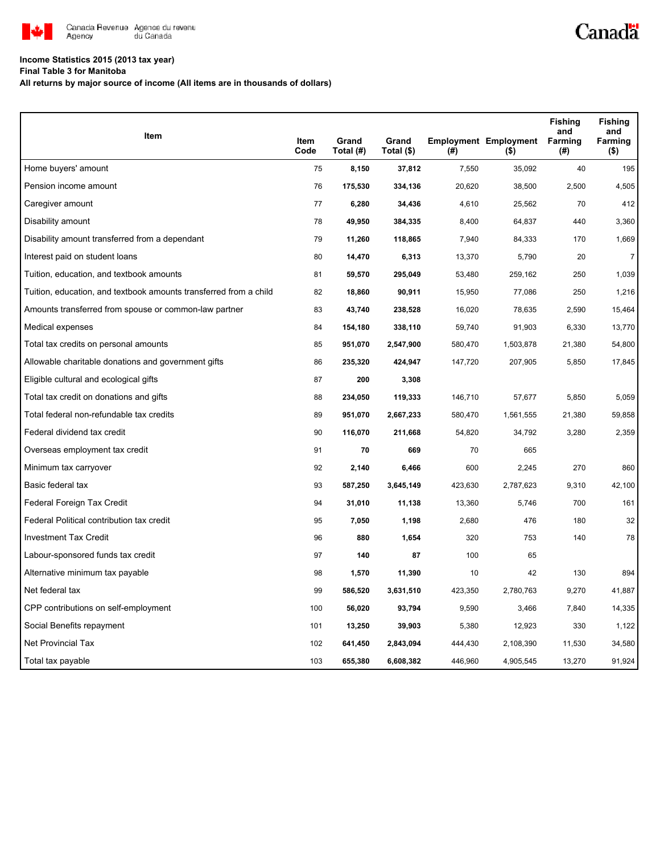

## **Income Statistics 2015 (2013 tax year)**

**Final Table 3 for Manitoba**

**All returns by major source of income (All items are in thousands of dollars)**

| Item                                                              |              | Grand     | Grand      |         | <b>Employment Employment</b> | <b>Fishing</b><br>and<br>Farming | <b>Fishing</b><br>and<br>Farming |
|-------------------------------------------------------------------|--------------|-----------|------------|---------|------------------------------|----------------------------------|----------------------------------|
|                                                                   | Item<br>Code | Total (#) | Total (\$) | (#)     | $($ \$)                      | (#)                              | $($ \$)                          |
| Home buyers' amount                                               | 75           | 8,150     | 37,812     | 7,550   | 35,092                       | 40                               | 195                              |
| Pension income amount                                             | 76           | 175,530   | 334,136    | 20,620  | 38,500                       | 2,500                            | 4,505                            |
| Caregiver amount                                                  | 77           | 6,280     | 34,436     | 4,610   | 25,562                       | 70                               | 412                              |
| Disability amount                                                 | 78           | 49,950    | 384,335    | 8,400   | 64,837                       | 440                              | 3,360                            |
| Disability amount transferred from a dependant                    | 79           | 11,260    | 118,865    | 7,940   | 84,333                       | 170                              | 1,669                            |
| Interest paid on student loans                                    | 80           | 14,470    | 6,313      | 13,370  | 5,790                        | 20                               | $\overline{7}$                   |
| Tuition, education, and textbook amounts                          | 81           | 59,570    | 295,049    | 53,480  | 259,162                      | 250                              | 1,039                            |
| Tuition, education, and textbook amounts transferred from a child | 82           | 18,860    | 90,911     | 15,950  | 77,086                       | 250                              | 1,216                            |
| Amounts transferred from spouse or common-law partner             | 83           | 43,740    | 238,528    | 16,020  | 78,635                       | 2,590                            | 15,464                           |
| Medical expenses                                                  | 84           | 154,180   | 338,110    | 59,740  | 91,903                       | 6,330                            | 13,770                           |
| Total tax credits on personal amounts                             | 85           | 951,070   | 2,547,900  | 580,470 | 1,503,878                    | 21,380                           | 54,800                           |
| Allowable charitable donations and government gifts               | 86           | 235,320   | 424,947    | 147,720 | 207,905                      | 5,850                            | 17,845                           |
| Eligible cultural and ecological gifts                            | 87           | 200       | 3,308      |         |                              |                                  |                                  |
| Total tax credit on donations and gifts                           | 88           | 234,050   | 119,333    | 146,710 | 57,677                       | 5,850                            | 5,059                            |
| Total federal non-refundable tax credits                          | 89           | 951,070   | 2,667,233  | 580,470 | 1,561,555                    | 21,380                           | 59,858                           |
| Federal dividend tax credit                                       | 90           | 116,070   | 211,668    | 54,820  | 34,792                       | 3,280                            | 2,359                            |
| Overseas employment tax credit                                    | 91           | 70        | 669        | 70      | 665                          |                                  |                                  |
| Minimum tax carryover                                             | 92           | 2,140     | 6,466      | 600     | 2,245                        | 270                              | 860                              |
| Basic federal tax                                                 | 93           | 587,250   | 3,645,149  | 423,630 | 2,787,623                    | 9,310                            | 42,100                           |
| Federal Foreign Tax Credit                                        | 94           | 31,010    | 11,138     | 13,360  | 5,746                        | 700                              | 161                              |
| Federal Political contribution tax credit                         | 95           | 7,050     | 1,198      | 2,680   | 476                          | 180                              | 32                               |
| <b>Investment Tax Credit</b>                                      | 96           | 880       | 1,654      | 320     | 753                          | 140                              | 78                               |
| Labour-sponsored funds tax credit                                 | 97           | 140       | 87         | 100     | 65                           |                                  |                                  |
| Alternative minimum tax payable                                   | 98           | 1,570     | 11,390     | 10      | 42                           | 130                              | 894                              |
| Net federal tax                                                   | 99           | 586,520   | 3,631,510  | 423,350 | 2,780,763                    | 9,270                            | 41,887                           |
| CPP contributions on self-employment                              | 100          | 56,020    | 93,794     | 9,590   | 3,466                        | 7,840                            | 14,335                           |
| Social Benefits repayment                                         | 101          | 13,250    | 39,903     | 5,380   | 12,923                       | 330                              | 1,122                            |
| <b>Net Provincial Tax</b>                                         | 102          | 641,450   | 2,843,094  | 444,430 | 2,108,390                    | 11,530                           | 34,580                           |
| Total tax payable                                                 | 103          | 655,380   | 6,608,382  | 446,960 | 4,905,545                    | 13,270                           | 91,924                           |

Canadä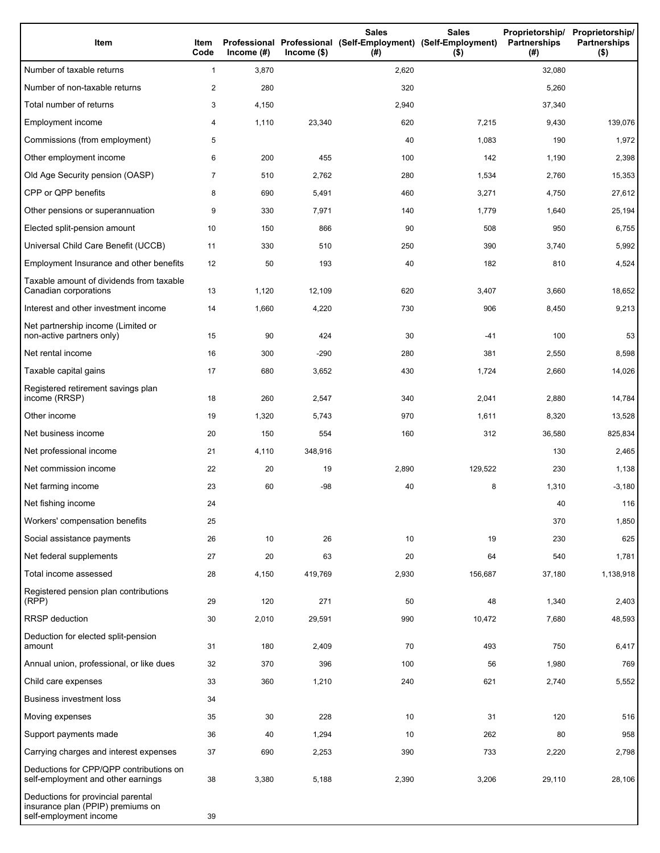| Item                                                                                              | Item<br>Code   | Income $(\#)$ | $Income$ (\$) | <b>Sales</b><br>Professional Professional (Self-Employment) (Self-Employment)<br>(# ) | <b>Sales</b><br>$($ \$) | Proprietorship/ Proprietorship/<br>Partnerships<br>(#) | <b>Partnerships</b><br>$($ \$) |
|---------------------------------------------------------------------------------------------------|----------------|---------------|---------------|---------------------------------------------------------------------------------------|-------------------------|--------------------------------------------------------|--------------------------------|
| Number of taxable returns                                                                         | $\mathbf{1}$   | 3,870         |               | 2,620                                                                                 |                         | 32,080                                                 |                                |
| Number of non-taxable returns                                                                     | 2              | 280           |               | 320                                                                                   |                         | 5,260                                                  |                                |
| Total number of returns                                                                           | 3              | 4,150         |               | 2,940                                                                                 |                         | 37,340                                                 |                                |
| Employment income                                                                                 | 4              | 1,110         | 23,340        | 620                                                                                   | 7,215                   | 9,430                                                  | 139,076                        |
| Commissions (from employment)                                                                     | 5              |               |               | 40                                                                                    | 1,083                   | 190                                                    | 1,972                          |
| Other employment income                                                                           | 6              | 200           | 455           | 100                                                                                   | 142                     | 1,190                                                  | 2,398                          |
| Old Age Security pension (OASP)                                                                   | $\overline{7}$ | 510           | 2,762         | 280                                                                                   | 1,534                   | 2,760                                                  | 15,353                         |
| CPP or QPP benefits                                                                               | 8              | 690           | 5,491         | 460                                                                                   | 3,271                   | 4,750                                                  | 27,612                         |
| Other pensions or superannuation                                                                  | 9              | 330           | 7,971         | 140                                                                                   | 1,779                   | 1,640                                                  | 25,194                         |
| Elected split-pension amount                                                                      | 10             | 150           | 866           | 90                                                                                    | 508                     | 950                                                    | 6,755                          |
| Universal Child Care Benefit (UCCB)                                                               | 11             | 330           | 510           | 250                                                                                   | 390                     | 3,740                                                  | 5,992                          |
| Employment Insurance and other benefits                                                           | 12             | 50            | 193           | 40                                                                                    | 182                     | 810                                                    | 4,524                          |
| Taxable amount of dividends from taxable<br>Canadian corporations                                 | 13             | 1,120         | 12,109        | 620                                                                                   | 3,407                   | 3,660                                                  | 18,652                         |
| Interest and other investment income                                                              | 14             | 1,660         | 4,220         | 730                                                                                   | 906                     | 8,450                                                  | 9,213                          |
| Net partnership income (Limited or<br>non-active partners only)                                   | 15             | 90            | 424           | 30                                                                                    | -41                     | 100                                                    | 53                             |
| Net rental income                                                                                 | 16             | 300           | $-290$        | 280                                                                                   | 381                     | 2,550                                                  | 8,598                          |
| Taxable capital gains                                                                             | 17             | 680           | 3,652         | 430                                                                                   | 1,724                   | 2,660                                                  | 14,026                         |
| Registered retirement savings plan<br>income (RRSP)                                               | 18             | 260           | 2,547         | 340                                                                                   | 2,041                   | 2,880                                                  | 14,784                         |
| Other income                                                                                      | 19             | 1,320         | 5,743         | 970                                                                                   | 1,611                   | 8,320                                                  | 13,528                         |
| Net business income                                                                               | 20             | 150           | 554           | 160                                                                                   | 312                     | 36,580                                                 | 825,834                        |
| Net professional income                                                                           | 21             | 4,110         | 348,916       |                                                                                       |                         | 130                                                    | 2,465                          |
| Net commission income                                                                             | 22             | 20            | 19            | 2,890                                                                                 | 129,522                 | 230                                                    | 1,138                          |
| Net farming income                                                                                | 23             | 60            | $-98$         | 40                                                                                    | 8                       | 1,310                                                  | $-3,180$                       |
| Net fishing income                                                                                | 24             |               |               |                                                                                       |                         | 40                                                     | 116                            |
| Workers' compensation benefits                                                                    | 25             |               |               |                                                                                       |                         | 370                                                    | 1,850                          |
| Social assistance payments                                                                        | 26             | 10            | 26            | 10                                                                                    | 19                      | 230                                                    | 625                            |
| Net federal supplements                                                                           | 27             | 20            | 63            | 20                                                                                    | 64                      | 540                                                    | 1,781                          |
| Total income assessed                                                                             | 28             | 4,150         | 419,769       | 2,930                                                                                 | 156,687                 | 37,180                                                 | 1,138,918                      |
| Registered pension plan contributions<br>(RPP)                                                    | 29             | 120           | 271           | 50                                                                                    | 48                      | 1,340                                                  | 2,403                          |
| RRSP deduction                                                                                    | 30             | 2,010         | 29,591        | 990                                                                                   | 10,472                  | 7,680                                                  | 48,593                         |
| Deduction for elected split-pension<br>amount                                                     | 31             | 180           | 2,409         | 70                                                                                    | 493                     | 750                                                    | 6,417                          |
| Annual union, professional, or like dues                                                          | 32             | 370           | 396           | 100                                                                                   | 56                      | 1,980                                                  | 769                            |
| Child care expenses                                                                               | 33             | 360           | 1,210         | 240                                                                                   | 621                     | 2,740                                                  | 5,552                          |
| <b>Business investment loss</b>                                                                   | 34             |               |               |                                                                                       |                         |                                                        |                                |
| Moving expenses                                                                                   | 35             | 30            | 228           | 10                                                                                    | 31                      | 120                                                    | 516                            |
| Support payments made                                                                             | 36             | 40            | 1,294         | 10                                                                                    | 262                     | 80                                                     | 958                            |
| Carrying charges and interest expenses                                                            | 37             | 690           | 2,253         | 390                                                                                   | 733                     | 2,220                                                  | 2,798                          |
| Deductions for CPP/QPP contributions on<br>self-employment and other earnings                     | 38             | 3,380         | 5,188         | 2,390                                                                                 | 3,206                   | 29,110                                                 | 28,106                         |
| Deductions for provincial parental<br>insurance plan (PPIP) premiums on<br>self-employment income | 39             |               |               |                                                                                       |                         |                                                        |                                |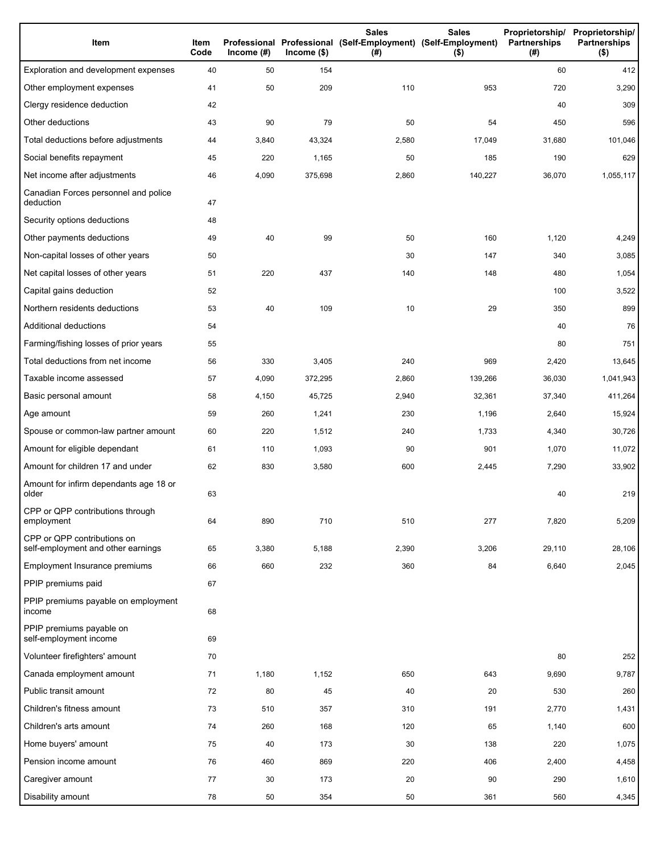| Item                                                              | Item<br>Code | Income $(\#)$ | Income(\$) | <b>Sales</b><br>Professional Professional (Self-Employment) (Self-Employment)<br>(#) | <b>Sales</b><br>$($ \$) | Partnerships<br>(#) | Proprietorship/ Proprietorship/<br><b>Partnerships</b><br>$($ \$) |
|-------------------------------------------------------------------|--------------|---------------|------------|--------------------------------------------------------------------------------------|-------------------------|---------------------|-------------------------------------------------------------------|
| Exploration and development expenses                              | 40           | 50            | 154        |                                                                                      |                         | 60                  | 412                                                               |
| Other employment expenses                                         | 41           | 50            | 209        | 110                                                                                  | 953                     | 720                 | 3,290                                                             |
| Clergy residence deduction                                        | 42           |               |            |                                                                                      |                         | 40                  | 309                                                               |
| Other deductions                                                  | 43           | 90            | 79         | 50                                                                                   | 54                      | 450                 | 596                                                               |
| Total deductions before adjustments                               | 44           | 3,840         | 43,324     | 2,580                                                                                | 17,049                  | 31,680              | 101,046                                                           |
| Social benefits repayment                                         | 45           | 220           | 1,165      | 50                                                                                   | 185                     | 190                 | 629                                                               |
| Net income after adjustments                                      | 46           | 4,090         | 375,698    | 2,860                                                                                | 140,227                 | 36,070              | 1,055,117                                                         |
| Canadian Forces personnel and police<br>deduction                 | 47           |               |            |                                                                                      |                         |                     |                                                                   |
| Security options deductions                                       | 48           |               |            |                                                                                      |                         |                     |                                                                   |
| Other payments deductions                                         | 49           | 40            | 99         | 50                                                                                   | 160                     | 1,120               | 4,249                                                             |
| Non-capital losses of other years                                 | 50           |               |            | 30                                                                                   | 147                     | 340                 | 3,085                                                             |
| Net capital losses of other years                                 | 51           | 220           | 437        | 140                                                                                  | 148                     | 480                 | 1,054                                                             |
| Capital gains deduction                                           | 52           |               |            |                                                                                      |                         | 100                 | 3,522                                                             |
| Northern residents deductions                                     | 53           | 40            | 109        | 10                                                                                   | 29                      | 350                 | 899                                                               |
| Additional deductions                                             | 54           |               |            |                                                                                      |                         | 40                  | 76                                                                |
| Farming/fishing losses of prior years                             | 55           |               |            |                                                                                      |                         | 80                  | 751                                                               |
| Total deductions from net income                                  | 56           | 330           | 3,405      | 240                                                                                  | 969                     | 2,420               | 13,645                                                            |
| Taxable income assessed                                           | 57           | 4,090         | 372,295    | 2,860                                                                                | 139,266                 | 36,030              | 1,041,943                                                         |
| Basic personal amount                                             | 58           | 4,150         | 45,725     | 2,940                                                                                | 32,361                  | 37,340              | 411,264                                                           |
| Age amount                                                        | 59           | 260           | 1,241      | 230                                                                                  | 1,196                   | 2,640               | 15,924                                                            |
| Spouse or common-law partner amount                               | 60           | 220           | 1,512      | 240                                                                                  | 1,733                   | 4,340               | 30,726                                                            |
| Amount for eligible dependant                                     | 61           | 110           | 1,093      | 90                                                                                   | 901                     | 1,070               | 11,072                                                            |
| Amount for children 17 and under                                  | 62           | 830           | 3,580      | 600                                                                                  | 2,445                   | 7,290               | 33,902                                                            |
| Amount for infirm dependants age 18 or<br>older                   | 63           |               |            |                                                                                      |                         | 40                  | 219                                                               |
| CPP or QPP contributions through<br>employment                    | 64           | 890           | 710        | 510                                                                                  | 277                     | 7,820               | 5,209                                                             |
| CPP or QPP contributions on<br>self-employment and other earnings | 65           | 3,380         | 5,188      | 2,390                                                                                | 3,206                   | 29,110              | 28,106                                                            |
| Employment Insurance premiums                                     | 66           | 660           | 232        | 360                                                                                  | 84                      | 6,640               | 2,045                                                             |
| PPIP premiums paid                                                | 67           |               |            |                                                                                      |                         |                     |                                                                   |
| PPIP premiums payable on employment<br>income                     | 68           |               |            |                                                                                      |                         |                     |                                                                   |
| PPIP premiums payable on<br>self-employment income                | 69           |               |            |                                                                                      |                         |                     |                                                                   |
| Volunteer firefighters' amount                                    | 70           |               |            |                                                                                      |                         | 80                  | 252                                                               |
| Canada employment amount                                          | 71           | 1,180         | 1,152      | 650                                                                                  | 643                     | 9,690               | 9,787                                                             |
| Public transit amount                                             | 72           | 80            | 45         | 40                                                                                   | 20                      | 530                 | 260                                                               |
| Children's fitness amount                                         | 73           | 510           | 357        | 310                                                                                  | 191                     | 2,770               | 1,431                                                             |
| Children's arts amount                                            | 74           | 260           | 168        | 120                                                                                  | 65                      | 1,140               | 600                                                               |
| Home buyers' amount                                               | 75           | 40            | 173        | 30                                                                                   | 138                     | 220                 | 1,075                                                             |
| Pension income amount                                             | 76           | 460           | 869        | 220                                                                                  | 406                     | 2,400               | 4,458                                                             |
| Caregiver amount                                                  | 77           | 30            | 173        | 20                                                                                   | 90                      | 290                 | 1,610                                                             |
| Disability amount                                                 | 78           | 50            | 354        | 50                                                                                   | 361                     | 560                 | 4,345                                                             |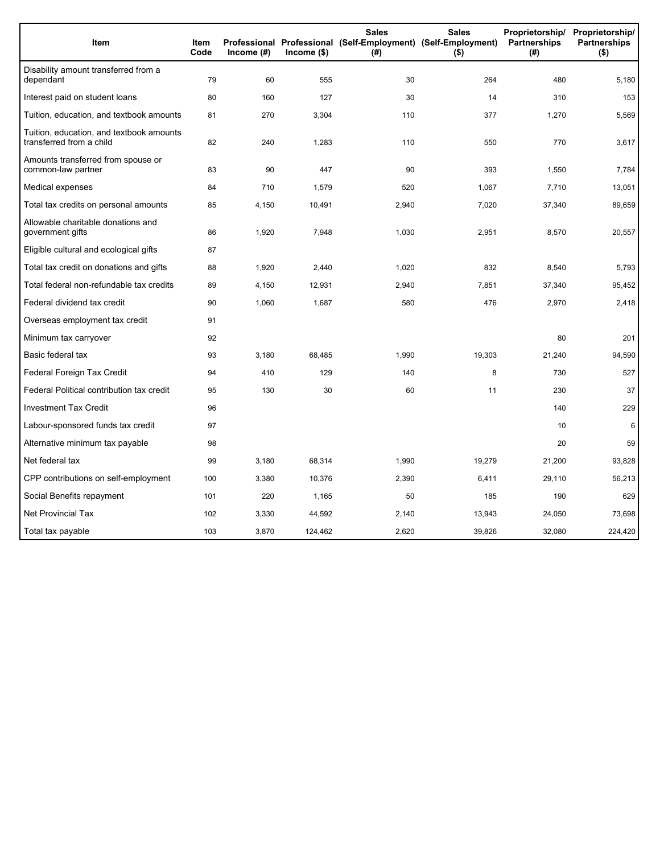| Item                                                                 | <b>Item</b><br>Code | Income (#) | $lncome$ (\$) | <b>Sales</b><br>Professional Professional (Self-Employment) (Self-Employment)<br>(#) | <b>Sales</b><br>$(\mathsf{\$})$ | Proprietorship/<br>Partnerships<br>(#) | Proprietorship/<br><b>Partnerships</b><br>$($ \$) |
|----------------------------------------------------------------------|---------------------|------------|---------------|--------------------------------------------------------------------------------------|---------------------------------|----------------------------------------|---------------------------------------------------|
| Disability amount transferred from a<br>dependant                    | 79                  | 60         | 555           | 30                                                                                   | 264                             | 480                                    | 5,180                                             |
| Interest paid on student loans                                       | 80                  | 160        | 127           | 30                                                                                   | 14                              | 310                                    | 153                                               |
| Tuition, education, and textbook amounts                             | 81                  | 270        | 3,304         | 110                                                                                  | 377                             | 1,270                                  | 5,569                                             |
| Tuition, education, and textbook amounts<br>transferred from a child | 82                  | 240        | 1,283         | 110                                                                                  | 550                             | 770                                    | 3,617                                             |
| Amounts transferred from spouse or<br>common-law partner             | 83                  | 90         | 447           | 90                                                                                   | 393                             | 1,550                                  | 7,784                                             |
| Medical expenses                                                     | 84                  | 710        | 1,579         | 520                                                                                  | 1,067                           | 7,710                                  | 13,051                                            |
| Total tax credits on personal amounts                                | 85                  | 4,150      | 10,491        | 2,940                                                                                | 7,020                           | 37,340                                 | 89,659                                            |
| Allowable charitable donations and<br>government gifts               | 86                  | 1,920      | 7,948         | 1,030                                                                                | 2,951                           | 8,570                                  | 20,557                                            |
| Eligible cultural and ecological gifts                               | 87                  |            |               |                                                                                      |                                 |                                        |                                                   |
| Total tax credit on donations and gifts                              | 88                  | 1,920      | 2,440         | 1,020                                                                                | 832                             | 8,540                                  | 5,793                                             |
| Total federal non-refundable tax credits                             | 89                  | 4,150      | 12,931        | 2,940                                                                                | 7,851                           | 37,340                                 | 95,452                                            |
| Federal dividend tax credit                                          | 90                  | 1,060      | 1,687         | 580                                                                                  | 476                             | 2,970                                  | 2,418                                             |
| Overseas employment tax credit                                       | 91                  |            |               |                                                                                      |                                 |                                        |                                                   |
| Minimum tax carryover                                                | 92                  |            |               |                                                                                      |                                 | 80                                     | 201                                               |
| Basic federal tax                                                    | 93                  | 3,180      | 68,485        | 1,990                                                                                | 19,303                          | 21,240                                 | 94,590                                            |
| Federal Foreign Tax Credit                                           | 94                  | 410        | 129           | 140                                                                                  | 8                               | 730                                    | 527                                               |
| Federal Political contribution tax credit                            | 95                  | 130        | 30            | 60                                                                                   | 11                              | 230                                    | 37                                                |
| <b>Investment Tax Credit</b>                                         | 96                  |            |               |                                                                                      |                                 | 140                                    | 229                                               |
| Labour-sponsored funds tax credit                                    | 97                  |            |               |                                                                                      |                                 | 10                                     | 6                                                 |
| Alternative minimum tax payable                                      | 98                  |            |               |                                                                                      |                                 | 20                                     | 59                                                |
| Net federal tax                                                      | 99                  | 3,180      | 68,314        | 1,990                                                                                | 19,279                          | 21,200                                 | 93,828                                            |
| CPP contributions on self-employment                                 | 100                 | 3,380      | 10,376        | 2,390                                                                                | 6,411                           | 29,110                                 | 56,213                                            |
| Social Benefits repayment                                            | 101                 | 220        | 1,165         | 50                                                                                   | 185                             | 190                                    | 629                                               |
| <b>Net Provincial Tax</b>                                            | 102                 | 3,330      | 44,592        | 2,140                                                                                | 13,943                          | 24,050                                 | 73,698                                            |
| Total tax payable                                                    | 103                 | 3,870      | 124,462       | 2,620                                                                                | 39,826                          | 32,080                                 | 224,420                                           |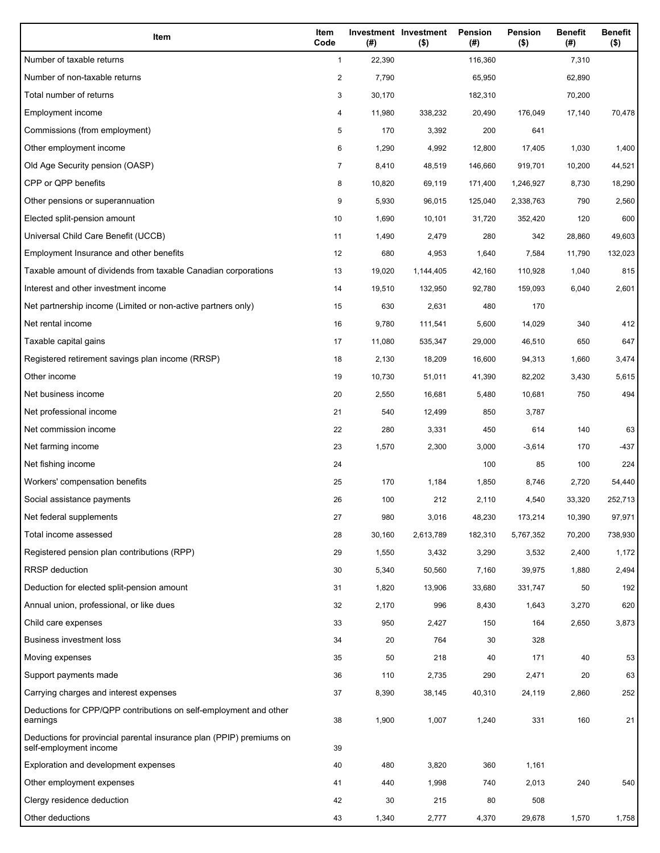| Item                                                                                           | Item<br>Code   | (# )   | Investment Investment<br>$($ \$) | Pension<br>(#) | Pension<br>$($ \$) | <b>Benefit</b><br>(#) | <b>Benefit</b><br>$($ \$) |
|------------------------------------------------------------------------------------------------|----------------|--------|----------------------------------|----------------|--------------------|-----------------------|---------------------------|
| Number of taxable returns                                                                      | $\mathbf{1}$   | 22,390 |                                  | 116,360        |                    | 7,310                 |                           |
| Number of non-taxable returns                                                                  | $\overline{c}$ | 7,790  |                                  | 65,950         |                    | 62,890                |                           |
| Total number of returns                                                                        | 3              | 30,170 |                                  | 182,310        |                    | 70,200                |                           |
| Employment income                                                                              | 4              | 11,980 | 338,232                          | 20,490         | 176,049            | 17,140                | 70,478                    |
| Commissions (from employment)                                                                  | 5              | 170    | 3,392                            | 200            | 641                |                       |                           |
| Other employment income                                                                        | 6              | 1,290  | 4,992                            | 12,800         | 17,405             | 1,030                 | 1,400                     |
| Old Age Security pension (OASP)                                                                | 7              | 8,410  | 48,519                           | 146,660        | 919,701            | 10,200                | 44,521                    |
| CPP or QPP benefits                                                                            | 8              | 10,820 | 69,119                           | 171,400        | 1,246,927          | 8,730                 | 18,290                    |
| Other pensions or superannuation                                                               | 9              | 5,930  | 96,015                           | 125,040        | 2,338,763          | 790                   | 2,560                     |
| Elected split-pension amount                                                                   | 10             | 1,690  | 10,101                           | 31,720         | 352,420            | 120                   | 600                       |
| Universal Child Care Benefit (UCCB)                                                            | 11             | 1,490  | 2,479                            | 280            | 342                | 28,860                | 49,603                    |
| Employment Insurance and other benefits                                                        | 12             | 680    | 4,953                            | 1,640          | 7,584              | 11,790                | 132,023                   |
| Taxable amount of dividends from taxable Canadian corporations                                 | 13             | 19,020 | 1,144,405                        | 42,160         | 110,928            | 1,040                 | 815                       |
| Interest and other investment income                                                           | 14             | 19,510 | 132,950                          | 92,780         | 159,093            | 6,040                 | 2,601                     |
| Net partnership income (Limited or non-active partners only)                                   | 15             | 630    | 2,631                            | 480            | 170                |                       |                           |
| Net rental income                                                                              | 16             | 9,780  | 111,541                          | 5,600          | 14,029             | 340                   | 412                       |
| Taxable capital gains                                                                          | 17             | 11,080 | 535,347                          | 29,000         | 46,510             | 650                   | 647                       |
| Registered retirement savings plan income (RRSP)                                               | 18             | 2,130  | 18,209                           | 16,600         | 94,313             | 1,660                 | 3,474                     |
| Other income                                                                                   | 19             | 10,730 | 51,011                           | 41,390         | 82,202             | 3,430                 | 5,615                     |
| Net business income                                                                            | 20             | 2,550  | 16,681                           | 5,480          | 10,681             | 750                   | 494                       |
| Net professional income                                                                        | 21             | 540    | 12,499                           | 850            | 3,787              |                       |                           |
| Net commission income                                                                          | 22             | 280    | 3,331                            | 450            | 614                | 140                   | 63                        |
| Net farming income                                                                             | 23             | 1,570  | 2,300                            | 3,000          | $-3,614$           | 170                   | -437                      |
| Net fishing income                                                                             | 24             |        |                                  | 100            | 85                 | 100                   | 224                       |
| Workers' compensation benefits                                                                 | 25             | 170    | 1,184                            | 1,850          | 8,746              | 2,720                 | 54,440                    |
| Social assistance payments                                                                     | 26             | 100    | 212                              | 2,110          | 4,540              | 33,320                | 252,713                   |
| Net federal supplements                                                                        | 27             | 980    | 3,016                            | 48,230         | 173,214            | 10,390                | 97,971                    |
| Total income assessed                                                                          | 28             | 30,160 | 2,613,789                        | 182,310        | 5,767,352          | 70,200                | 738,930                   |
| Registered pension plan contributions (RPP)                                                    | 29             | 1,550  | 3,432                            | 3,290          | 3,532              | 2,400                 | 1,172                     |
| <b>RRSP</b> deduction                                                                          | 30             | 5,340  | 50,560                           | 7,160          | 39,975             | 1,880                 | 2,494                     |
| Deduction for elected split-pension amount                                                     | 31             | 1,820  | 13,906                           | 33,680         | 331,747            | 50                    | 192                       |
| Annual union, professional, or like dues                                                       | 32             | 2,170  | 996                              | 8,430          | 1,643              | 3,270                 | 620                       |
| Child care expenses                                                                            | 33             | 950    | 2,427                            | 150            | 164                | 2,650                 | 3,873                     |
| <b>Business investment loss</b>                                                                | 34             | 20     | 764                              | 30             | 328                |                       |                           |
| Moving expenses                                                                                | 35             | 50     | 218                              | 40             | 171                | 40                    | 53                        |
| Support payments made                                                                          | 36             | 110    | 2,735                            | 290            | 2,471              | 20                    | 63                        |
| Carrying charges and interest expenses                                                         | 37             | 8,390  | 38,145                           | 40,310         | 24,119             | 2,860                 | 252                       |
| Deductions for CPP/QPP contributions on self-employment and other<br>earnings                  | 38             | 1,900  | 1,007                            | 1,240          | 331                | 160                   | 21                        |
| Deductions for provincial parental insurance plan (PPIP) premiums on<br>self-employment income | 39             |        |                                  |                |                    |                       |                           |
| Exploration and development expenses                                                           | 40             | 480    | 3,820                            | 360            | 1,161              |                       |                           |
| Other employment expenses                                                                      | 41             | 440    | 1,998                            | 740            | 2,013              | 240                   | 540                       |
| Clergy residence deduction                                                                     | 42             | 30     | 215                              | 80             | 508                |                       |                           |
| Other deductions                                                                               | 43             | 1,340  | 2,777                            | 4,370          | 29,678             | 1,570                 | 1,758                     |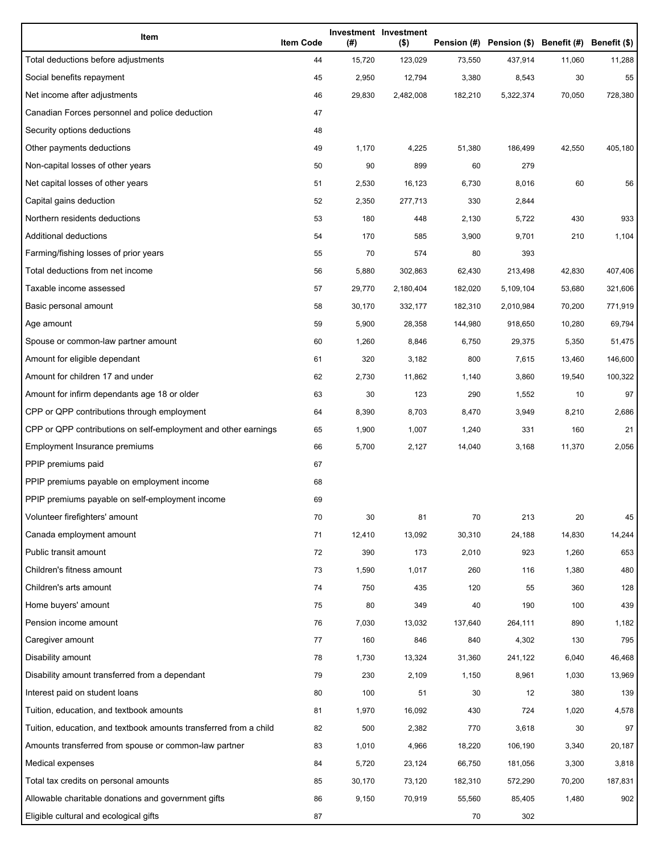| Item                                                              | <b>Item Code</b> | (#)    | Investment Investment<br>$($ \$) |         | Pension (#) Pension (\$) Benefit (#) Benefit (\$) |        |         |
|-------------------------------------------------------------------|------------------|--------|----------------------------------|---------|---------------------------------------------------|--------|---------|
| Total deductions before adjustments                               | 44               | 15,720 | 123,029                          | 73,550  | 437,914                                           | 11,060 | 11,288  |
| Social benefits repayment                                         | 45               | 2,950  | 12,794                           | 3,380   | 8,543                                             | 30     | 55      |
| Net income after adjustments                                      | 46               | 29,830 | 2,482,008                        | 182,210 | 5,322,374                                         | 70,050 | 728,380 |
| Canadian Forces personnel and police deduction                    | 47               |        |                                  |         |                                                   |        |         |
| Security options deductions                                       | 48               |        |                                  |         |                                                   |        |         |
| Other payments deductions                                         | 49               | 1,170  | 4,225                            | 51,380  | 186,499                                           | 42,550 | 405,180 |
| Non-capital losses of other years                                 | 50               | 90     | 899                              | 60      | 279                                               |        |         |
| Net capital losses of other years                                 | 51               | 2,530  | 16,123                           | 6,730   | 8,016                                             | 60     | 56      |
| Capital gains deduction                                           | 52               | 2,350  | 277,713                          | 330     | 2,844                                             |        |         |
| Northern residents deductions                                     | 53               | 180    | 448                              | 2,130   | 5,722                                             | 430    | 933     |
| Additional deductions                                             | 54               | 170    | 585                              | 3,900   | 9,701                                             | 210    | 1,104   |
| Farming/fishing losses of prior years                             | 55               | 70     | 574                              | 80      | 393                                               |        |         |
| Total deductions from net income                                  | 56               | 5,880  | 302,863                          | 62,430  | 213,498                                           | 42,830 | 407,406 |
| Taxable income assessed                                           | 57               | 29,770 | 2,180,404                        | 182,020 | 5,109,104                                         | 53,680 | 321,606 |
| Basic personal amount                                             | 58               | 30,170 | 332,177                          | 182,310 | 2,010,984                                         | 70,200 | 771,919 |
| Age amount                                                        | 59               | 5,900  | 28,358                           | 144,980 | 918,650                                           | 10,280 | 69,794  |
| Spouse or common-law partner amount                               | 60               | 1,260  | 8,846                            | 6,750   | 29,375                                            | 5,350  | 51,475  |
| Amount for eligible dependant                                     | 61               | 320    | 3,182                            | 800     | 7,615                                             | 13,460 | 146,600 |
| Amount for children 17 and under                                  | 62               | 2,730  | 11,862                           | 1,140   | 3,860                                             | 19,540 | 100,322 |
| Amount for infirm dependants age 18 or older                      | 63               | 30     | 123                              | 290     | 1,552                                             | 10     | 97      |
| CPP or QPP contributions through employment                       | 64               | 8,390  | 8,703                            | 8,470   | 3,949                                             | 8,210  | 2,686   |
| CPP or QPP contributions on self-employment and other earnings    | 65               | 1,900  | 1,007                            | 1,240   | 331                                               | 160    | 21      |
| Employment Insurance premiums                                     | 66               | 5,700  | 2,127                            | 14,040  | 3,168                                             | 11,370 | 2,056   |
| PPIP premiums paid                                                | 67               |        |                                  |         |                                                   |        |         |
| PPIP premiums payable on employment income                        | 68               |        |                                  |         |                                                   |        |         |
| PPIP premiums payable on self-employment income                   | 69               |        |                                  |         |                                                   |        |         |
| Volunteer firefighters' amount                                    | 70               | 30     | 81                               | 70      | 213                                               | 20     | 45      |
| Canada employment amount                                          | 71               | 12,410 | 13,092                           | 30,310  | 24,188                                            | 14,830 | 14,244  |
| Public transit amount                                             | 72               | 390    | 173                              | 2,010   | 923                                               | 1,260  | 653     |
| Children's fitness amount                                         | 73               | 1,590  | 1,017                            | 260     | 116                                               | 1,380  | 480     |
| Children's arts amount                                            | 74               | 750    | 435                              | 120     | 55                                                | 360    | 128     |
| Home buyers' amount                                               | 75               | 80     | 349                              | 40      | 190                                               | 100    | 439     |
| Pension income amount                                             | 76               | 7,030  | 13,032                           | 137,640 | 264,111                                           | 890    | 1,182   |
| Caregiver amount                                                  | 77               | 160    | 846                              | 840     | 4,302                                             | 130    | 795     |
| Disability amount                                                 | 78               | 1,730  | 13,324                           | 31,360  | 241,122                                           | 6,040  | 46,468  |
| Disability amount transferred from a dependant                    | 79               | 230    | 2,109                            | 1,150   | 8,961                                             | 1,030  | 13,969  |
| Interest paid on student loans                                    | 80               | 100    | 51                               | 30      | 12                                                | 380    | 139     |
| Tuition, education, and textbook amounts                          | 81               | 1,970  | 16,092                           | 430     | 724                                               | 1,020  | 4,578   |
| Tuition, education, and textbook amounts transferred from a child | 82               | 500    | 2,382                            | 770     | 3,618                                             | 30     | 97      |
| Amounts transferred from spouse or common-law partner             | 83               | 1,010  | 4,966                            | 18,220  | 106,190                                           | 3,340  | 20,187  |
| Medical expenses                                                  | 84               | 5,720  | 23,124                           | 66,750  | 181,056                                           | 3,300  | 3,818   |
| Total tax credits on personal amounts                             | 85               | 30,170 | 73,120                           | 182,310 | 572,290                                           | 70,200 | 187,831 |
| Allowable charitable donations and government gifts               | 86               | 9,150  | 70,919                           | 55,560  | 85,405                                            | 1,480  | 902     |
| Eligible cultural and ecological gifts                            | 87               |        |                                  | 70      | 302                                               |        |         |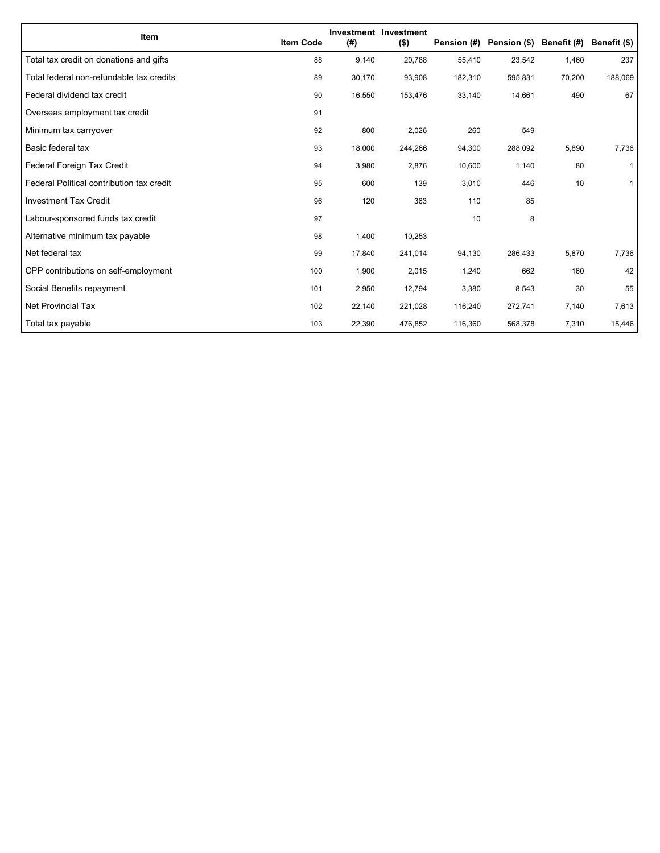| Item                                      | <b>Item Code</b> | (#)    | Investment Investment<br>$($ \$) | Pension (#) | Pension (\$) Benefit (#) |        | Benefit (\$) |
|-------------------------------------------|------------------|--------|----------------------------------|-------------|--------------------------|--------|--------------|
| Total tax credit on donations and gifts   | 88               | 9,140  | 20,788                           | 55,410      | 23,542                   | 1,460  | 237          |
| Total federal non-refundable tax credits  | 89               | 30,170 | 93,908                           | 182,310     | 595,831                  | 70,200 | 188,069      |
| Federal dividend tax credit               | 90               | 16,550 | 153,476                          | 33,140      | 14,661                   | 490    | 67           |
| Overseas employment tax credit            | 91               |        |                                  |             |                          |        |              |
| Minimum tax carryover                     | 92               | 800    | 2,026                            | 260         | 549                      |        |              |
| Basic federal tax                         | 93               | 18,000 | 244,266                          | 94,300      | 288,092                  | 5,890  | 7,736        |
| Federal Foreign Tax Credit                | 94               | 3,980  | 2,876                            | 10,600      | 1,140                    | 80     | 1            |
| Federal Political contribution tax credit | 95               | 600    | 139                              | 3,010       | 446                      | 10     | 1            |
| <b>Investment Tax Credit</b>              | 96               | 120    | 363                              | 110         | 85                       |        |              |
| Labour-sponsored funds tax credit         | 97               |        |                                  | 10          | 8                        |        |              |
| Alternative minimum tax payable           | 98               | 1,400  | 10,253                           |             |                          |        |              |
| Net federal tax                           | 99               | 17,840 | 241,014                          | 94,130      | 286,433                  | 5,870  | 7,736        |
| CPP contributions on self-employment      | 100              | 1,900  | 2,015                            | 1,240       | 662                      | 160    | 42           |
| Social Benefits repayment                 | 101              | 2,950  | 12,794                           | 3,380       | 8,543                    | 30     | 55           |
| Net Provincial Tax                        | 102              | 22,140 | 221,028                          | 116,240     | 272,741                  | 7,140  | 7,613        |
| Total tax payable                         | 103              | 22,390 | 476,852                          | 116,360     | 568,378                  | 7,310  | 15,446       |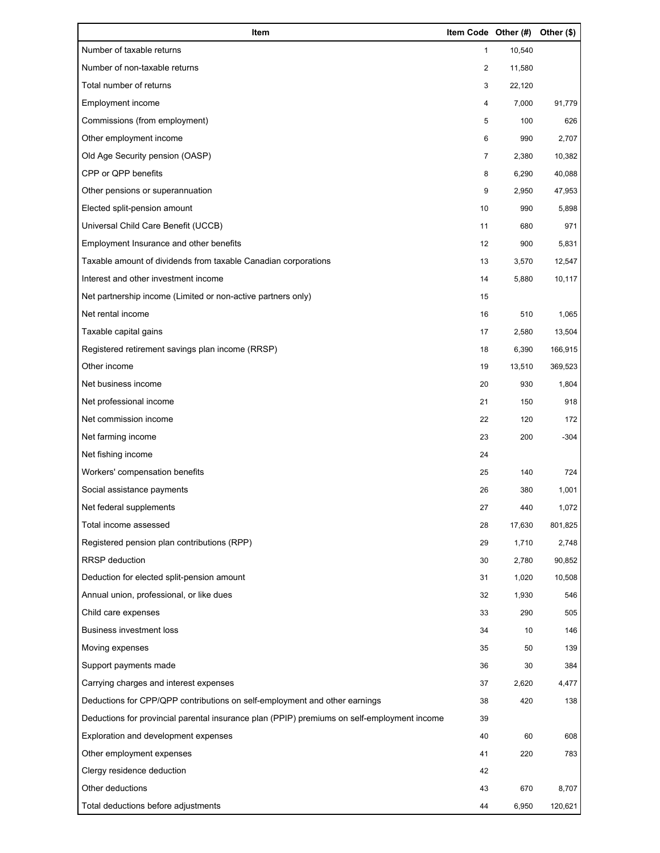| Item                                                                                        | Item Code Other (#) |        | Other (\$) |
|---------------------------------------------------------------------------------------------|---------------------|--------|------------|
| Number of taxable returns                                                                   | 1                   | 10,540 |            |
| Number of non-taxable returns                                                               | 2                   | 11,580 |            |
| Total number of returns                                                                     | 3                   | 22,120 |            |
| Employment income                                                                           | 4                   | 7,000  | 91,779     |
| Commissions (from employment)                                                               | 5                   | 100    | 626        |
| Other employment income                                                                     | 6                   | 990    | 2,707      |
| Old Age Security pension (OASP)                                                             | 7                   | 2,380  | 10,382     |
| CPP or QPP benefits                                                                         | 8                   | 6,290  | 40,088     |
| Other pensions or superannuation                                                            | 9                   | 2,950  | 47,953     |
| Elected split-pension amount                                                                | 10                  | 990    | 5,898      |
| Universal Child Care Benefit (UCCB)                                                         | 11                  | 680    | 971        |
| Employment Insurance and other benefits                                                     | 12                  | 900    | 5,831      |
| Taxable amount of dividends from taxable Canadian corporations                              | 13                  | 3,570  | 12,547     |
| Interest and other investment income                                                        | 14                  | 5,880  | 10,117     |
| Net partnership income (Limited or non-active partners only)                                | 15                  |        |            |
| Net rental income                                                                           | 16                  | 510    | 1,065      |
| Taxable capital gains                                                                       | 17                  | 2,580  | 13,504     |
| Registered retirement savings plan income (RRSP)                                            | 18                  | 6,390  | 166,915    |
| Other income                                                                                | 19                  | 13,510 | 369,523    |
| Net business income                                                                         | 20                  | 930    | 1,804      |
| Net professional income                                                                     | 21                  | 150    | 918        |
| Net commission income                                                                       | 22                  | 120    | 172        |
| Net farming income                                                                          | 23                  | 200    | $-304$     |
| Net fishing income                                                                          | 24                  |        |            |
| Workers' compensation benefits                                                              | 25                  | 140    | 724        |
| Social assistance payments                                                                  | 26                  | 380    | 1,001      |
| Net federal supplements                                                                     | 27                  | 440    | 1,072      |
| Total income assessed                                                                       | 28                  | 17,630 | 801,825    |
| Registered pension plan contributions (RPP)                                                 | 29                  | 1,710  | 2,748      |
| RRSP deduction                                                                              | 30                  | 2,780  | 90,852     |
| Deduction for elected split-pension amount                                                  | 31                  | 1,020  | 10,508     |
| Annual union, professional, or like dues                                                    | 32                  | 1,930  | 546        |
| Child care expenses                                                                         | 33                  | 290    | 505        |
| <b>Business investment loss</b>                                                             | 34                  | 10     | 146        |
| Moving expenses                                                                             | 35                  | 50     | 139        |
| Support payments made                                                                       | 36                  | 30     | 384        |
| Carrying charges and interest expenses                                                      | 37                  | 2,620  | 4,477      |
| Deductions for CPP/QPP contributions on self-employment and other earnings                  | 38                  | 420    | 138        |
| Deductions for provincial parental insurance plan (PPIP) premiums on self-employment income | 39                  |        |            |
| Exploration and development expenses                                                        | 40                  | 60     | 608        |
| Other employment expenses                                                                   | 41                  | 220    | 783        |
| Clergy residence deduction                                                                  | 42                  |        |            |
| Other deductions                                                                            | 43                  | 670    | 8,707      |
| Total deductions before adjustments                                                         | 44                  | 6,950  | 120,621    |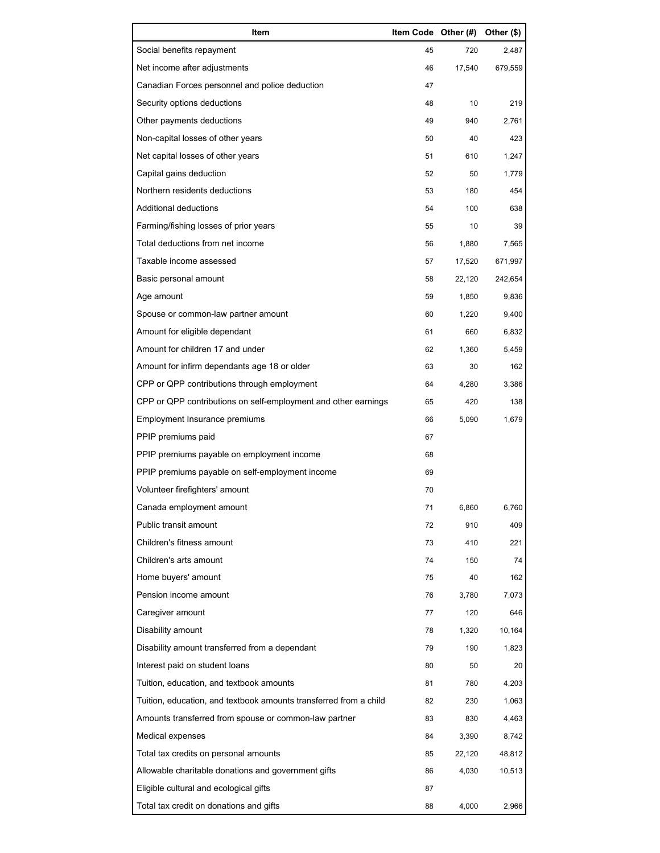| Item                                                              | Item Code Other (#) |        | Other (\$) |
|-------------------------------------------------------------------|---------------------|--------|------------|
| Social benefits repayment                                         | 45                  | 720    | 2,487      |
| Net income after adjustments                                      | 46                  | 17,540 | 679,559    |
| Canadian Forces personnel and police deduction                    | 47                  |        |            |
| Security options deductions                                       | 48                  | 10     | 219        |
| Other payments deductions                                         | 49                  | 940    | 2,761      |
| Non-capital losses of other years                                 | 50                  | 40     | 423        |
| Net capital losses of other years                                 | 51                  | 610    | 1,247      |
| Capital gains deduction                                           | 52                  | 50     | 1,779      |
| Northern residents deductions                                     | 53                  | 180    | 454        |
| Additional deductions                                             | 54                  | 100    | 638        |
| Farming/fishing losses of prior years                             | 55                  | 10     | 39         |
| Total deductions from net income                                  | 56                  | 1,880  | 7,565      |
| Taxable income assessed                                           | 57                  | 17,520 | 671,997    |
| Basic personal amount                                             | 58                  | 22,120 | 242,654    |
| Age amount                                                        | 59                  | 1,850  | 9,836      |
| Spouse or common-law partner amount                               | 60                  | 1,220  | 9,400      |
| Amount for eligible dependant                                     | 61                  | 660    | 6,832      |
| Amount for children 17 and under                                  | 62                  | 1,360  | 5,459      |
| Amount for infirm dependants age 18 or older                      | 63                  | 30     | 162        |
| CPP or QPP contributions through employment                       | 64                  | 4,280  | 3,386      |
| CPP or QPP contributions on self-employment and other earnings    | 65                  | 420    | 138        |
| Employment Insurance premiums                                     | 66                  | 5,090  | 1,679      |
| PPIP premiums paid                                                | 67                  |        |            |
| PPIP premiums payable on employment income                        | 68                  |        |            |
| PPIP premiums payable on self-employment income                   | 69                  |        |            |
| Volunteer firefighters' amount                                    | 70                  |        |            |
| Canada employment amount                                          | 71                  | 6,860  | 6,760      |
| Public transit amount                                             | 72                  | 910    | 409        |
| Children's fitness amount                                         | 73                  | 410    | 221        |
| Children's arts amount                                            | 74                  | 150    | 74         |
| Home buyers' amount                                               | 75                  | 40     | 162        |
| Pension income amount                                             | 76                  | 3,780  | 7,073      |
| Caregiver amount                                                  | 77                  | 120    | 646        |
| Disability amount                                                 | 78                  | 1,320  | 10,164     |
| Disability amount transferred from a dependant                    | 79                  | 190    | 1,823      |
| Interest paid on student loans                                    | 80                  | 50     | 20         |
| Tuition, education, and textbook amounts                          | 81                  | 780    | 4,203      |
| Tuition, education, and textbook amounts transferred from a child | 82                  | 230    | 1,063      |
| Amounts transferred from spouse or common-law partner             | 83                  | 830    | 4,463      |
| Medical expenses                                                  | 84                  | 3,390  | 8,742      |
| Total tax credits on personal amounts                             | 85                  | 22,120 | 48,812     |
| Allowable charitable donations and government gifts               | 86                  | 4,030  | 10,513     |
| Eligible cultural and ecological gifts                            | 87                  |        |            |
| Total tax credit on donations and gifts                           | 88                  | 4,000  | 2,966      |